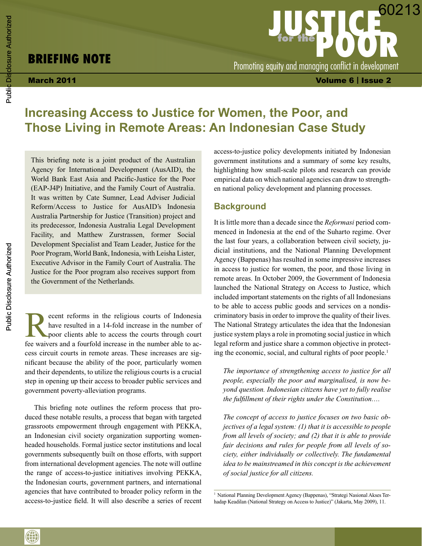# **Briefing Note**

March 2011 Volume 6 | Issue 2 **JUSTICE for the DOOR** Promoting equity and managing conflict in development 60213

# **Increasing Access to Justice for Women, the Poor, and Those Living in Remote Areas: An Indonesian Case Study**

This briefing note is a joint product of the Australian Agency for International Development (AusAID), the World Bank East Asia and Pacific-Justice for the Poor (EAP-J4P) Initiative, and the Family Court of Australia. It was written by Cate Sumner, Lead Adviser Judicial Reform/Access to Justice for AusAID's Indonesia Australia Partnership for Justice (Transition) project and its predecessor, Indonesia Australia Legal Development Facility, and Matthew Zurstrassen, former Social Development Specialist and Team Leader, Justice for the Poor Program, World Bank, Indonesia, with Leisha Lister, Executive Advisor in the Family Court of Australia. The Justice for the Poor program also receives support from the Government of the Netherlands.

Execut reforms in the religious courts of Indonesia<br>have resulted in a 14-fold increase in the number of<br>poor clients able to access the courts through court<br>for writings and a fourfold increase in the number oble to achave resulted in a 14-fold increase in the number of poor clients able to access the courts through court fee waivers and a fourfold increase in the number able to access circuit courts in remote areas. These increases are significant because the ability of the poor, particularly women and their dependents, to utilize the religious courts is a crucial step in opening up their access to broader public services and government poverty-alleviation programs.

This briefing note outlines the reform process that produced these notable results, a process that began with targeted grassroots empowerment through engagement with PEKKA, an Indonesian civil society organization supporting womenheaded households. Formal justice sector institutions and local governments subsequently built on those efforts, with support from international development agencies. The note will outline the range of access-to-justice initiatives involving PEKKA, the Indonesian courts, government partners, and international agencies that have contributed to broader policy reform in the access-to-justice field. It will also describe a series of recent access-to-justice policy developments initiated by Indonesian government institutions and a summary of some key results, highlighting how small-scale pilots and research can provide empirical data on which national agencies can draw to strengthen national policy development and planning processes.

#### **Background**

It is little more than a decade since the *Reformasi* period commenced in Indonesia at the end of the Suharto regime. Over the last four years, a collaboration between civil society, judicial institutions, and the National Planning Development Agency (Bappenas) has resulted in some impressive increases in access to justice for women, the poor, and those living in remote areas. In October 2009, the Government of Indonesia launched the National Strategy on Access to Justice, which included important statements on the rights of all Indonesians to be able to access public goods and services on a nondiscriminatory basis in order to improve the quality of their lives. The National Strategy articulates the idea that the Indonesian justice system plays a role in promoting social justice in which legal reform and justice share a common objective in protecting the economic, social, and cultural rights of poor people.<sup>1</sup>

*The importance of strengthening access to justice for all people, especially the poor and marginalised, is now beyond question. Indonesian citizens have yet to fully realise the fulfillment of their rights under the Constitution….*

*The concept of access to justice focuses on two basic objectives of a legal system: (1) that it is accessible to people from all levels of society; and (2) that it is able to provide fair decisions and rules for people from all levels of society, either individually or collectively. The fundamental idea to be mainstreamed in this concept is the achievement of social justice for all citizens.*

0

<sup>&</sup>lt;sup>1</sup> National Planning Development Agency (Bappenas), "Strategi Nasional Akses Terhadap Keadilan (National Strategy on Access to Justice)" (Jakarta, May 2009), 11.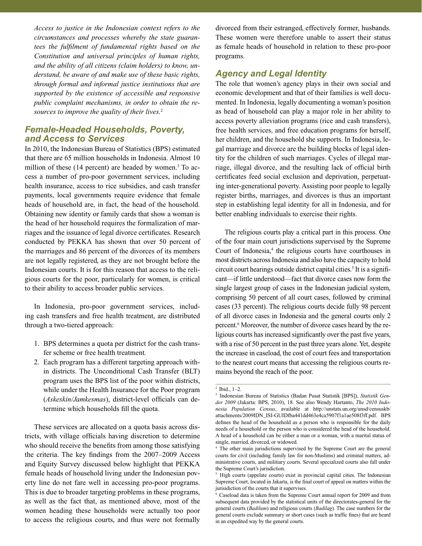*Access to justice in the Indonesian context refers to the circumstances and processes whereby the state guarantees the fulfilment of fundamental rights based on the Constitution and universal principles of human rights, and the ability of all citizens (claim holders) to know, understand, be aware of and make use of these basic rights, through formal and informal justice institutions that are supported by the existence of accessible and responsive public complaint mechanisms, in order to obtain the resources to improve the quality of their lives.*<sup>2</sup>

#### *Female-Headed Households, Poverty, and Access to Services*

In 2010, the Indonesian Bureau of Statistics (BPS) estimated that there are 65 million households in Indonesia. Almost 10 million of these (14 percent) are headed by women.<sup>3</sup> To access a number of pro-poor government services, including health insurance, access to rice subsidies, and cash transfer payments, local governments require evidence that female heads of household are, in fact, the head of the household. Obtaining new identity or family cards that show a woman is the head of her household requires the formalization of marriages and the issuance of legal divorce certificates. Research conducted by PEKKA has shown that over 50 percent of the marriages and 86 percent of the divorces of its members are not legally registered, as they are not brought before the Indonesian courts. It is for this reason that access to the religious courts for the poor, particularly for women, is critical to their ability to access broader public services.

In Indonesia, pro-poor government services, including cash transfers and free health treatment, are distributed through a two-tiered approach:

- 1. BPS determines a quota per district for the cash transfer scheme or free health treatment*.*
- 2. Each program has a different targeting approach within districts. The Unconditional Cash Transfer (BLT) program uses the BPS list of the poor within districts, while under the Health Insurance for the Poor program (*Askeskin/Jamkesmas*), district-level officials can determine which households fill the quota.

These services are allocated on a quota basis across districts, with village officials having discretion to determine who should receive the benefits from among those satisfying the criteria. The key findings from the 2007–2009 Access and Equity Survey discussed below highlight that PEKKA female heads of household living under the Indonesian poverty line do not fare well in accessing pro-poor programs. This is due to broader targeting problems in these programs, as well as the fact that, as mentioned above, most of the women heading these households were actually too poor to access the religious courts, and thus were not formally divorced from their estranged, effectively former, husbands. These women were therefore unable to assert their status as female heads of household in relation to these pro-poor programs.

## *Agency and Legal Identity*

The role that women's agency plays in their own social and economic development and that of their families is well documented. In Indonesia, legally documenting a woman's position as head of household can play a major role in her ability to access poverty alleviation programs (rice and cash transfers), free health services, and free education programs for herself, her children, and the household she supports. In Indonesia, legal marriage and divorce are the building blocks of legal identity for the children of such marriages. Cycles of illegal marriage, illegal divorce, and the resulting lack of official birth certificates feed social exclusion and deprivation, perpetuating inter-generational poverty. Assisting poor people to legally register births, marriages, and divorces is thus an important step in establishing legal identity for all in Indonesia, and for better enabling individuals to exercise their rights.

The religious courts play a critical part in this process. One of the four main court jurisdictions supervised by the Supreme Court of Indonesia,<sup>4</sup> the religious courts have courthouses in most districts across Indonesia and also have the capacity to hold circuit court hearings outside district capital cities.<sup>5</sup> It is a significant—if little understood—fact that divorce cases now form the single largest group of cases in the Indonesian judicial system, comprising 50 percent of all court cases, followed by criminal cases (33 percent). The religious courts decide fully 98 percent of all divorce cases in Indonesia and the general courts only 2 percent.6 Moreover, the number of divorce cases heard by the religious courts has increased significantly over the past five years, with a rise of 50 percent in the past three years alone. Yet, despite the increase in caseload, the cost of court fees and transportation to the nearest court means that accessing the religious courts remains beyond the reach of the poor.

<sup>2</sup> Ibid., 1–2.

<sup>3</sup> Indonesian Bureau of Statistics (Badan Pusat Statistik [BPS]), *Statistik Gender 2009* (Jakarta: BPS, 2010), 18. See also Wendy Hartanto, *The 2010 Indonesia Population Census*, available at http://unstats.un.org/unsd/censuskb/ attachments/2009IDN\_ISI-GUIDfba441dd463e4ca5907f1a1ae508f3ff.pdf. BPS defines the head of the household as a person who is responsible for the daily needs of a household or the person who is considered the head of the household. A head of a household can be either a man or a woman, with a marital status of single, married, divorced, or widowed.

<sup>4</sup> The other main jurisdictions supervised by the Supreme Court are the general courts for civil (including family law for non-Muslims) and criminal matters, administrative courts, and militiary courts. Several specialized courts also fall under the Supreme Court's jurisdiction.

<sup>&</sup>lt;sup>5</sup> High courts (appelate courts) exist in provincial capital cities. The Indonesian Supreme Court, located in Jakarta, is the final court of appeal on matters within the jurisidiction of the courts that it supervises.

<sup>6</sup> Caseload data is taken from the Supreme Court annual report for 2009 and from subsequent data provided by the statistical units of the directorates-general for the general courts (*Badilum*) and religious courts (*Badilag*). The case numbers for the general courts exclude summary or short cases (such as traffic fines) that are heard in an expedited way by the general courts.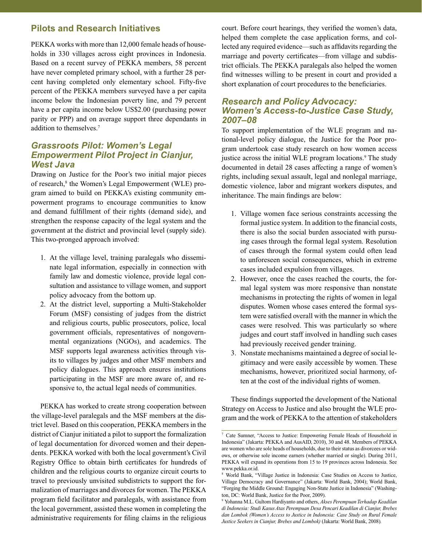# **Pilots and Research Initiatives**

PEKKA works with more than 12,000 female heads of households in 330 villages across eight provinces in Indonesia. Based on a recent survey of PEKKA members, 58 percent have never completed primary school, with a further 28 percent having completed only elementary school. Fifty-five percent of the PEKKA members surveyed have a per capita income below the Indonesian poverty line, and 79 percent have a per capita income below US\$2.00 (purchasing power parity or PPP) and on average support three dependants in addition to themselves.7

#### *Grassroots Pilot: Women's Legal Empowerment Pilot Project in Cianjur, West Java*

Drawing on Justice for the Poor's two initial major pieces of research,<sup>8</sup> the Women's Legal Empowerment (WLE) program aimed to build on PEKKA's existing community empowerment programs to encourage communities to know and demand fulfillment of their rights (demand side), and strengthen the response capacity of the legal system and the government at the district and provincial level (supply side). This two-pronged approach involved:

- 1. At the village level, training paralegals who disseminate legal information, especially in connection with family law and domestic violence, provide legal consultation and assistance to village women, and support policy advocacy from the bottom up.
- 2. At the district level, supporting a Multi-Stakeholder Forum (MSF) consisting of judges from the district and religious courts, public prosecutors, police, local government officials, representatives of nongovernmental organizations (NGOs), and academics. The MSF supports legal awareness activities through visits to villages by judges and other MSF members and policy dialogues. This approach ensures institutions participating in the MSF are more aware of, and responsive to, the actual legal needs of communities.

PEKKA has worked to create strong cooperation between the village-level paralegals and the MSF members at the district level. Based on this cooperation, PEKKA members in the district of Cianjur initiated a pilot to support the formalization of legal documentation for divorced women and their dependents. PEKKA worked with both the local government's Civil Registry Office to obtain birth certificates for hundreds of children and the religious courts to organize circuit courts to travel to previously unvisited subdistricts to support the formalization of marriages and divorces for women. The PEKKA program field facilitator and paralegals, with assistance from the local government, assisted these women in completing the administrative requirements for filing claims in the religious

court. Before court hearings, they verified the women's data, helped them complete the case application forms, and collected any required evidence—such as affidavits regarding the marriage and poverty certificates—from village and subdistrict officials. The PEKKA paralegals also helped the women find witnesses willing to be present in court and provided a short explanation of court procedures to the beneficiaries.

#### *Research and Policy Advocacy: Women's Access-to-Justice Case Study, 2007–08*

To support implementation of the WLE program and national-level policy dialogue, the Justice for the Poor program undertook case study research on how women access justice across the initial WLE program locations.<sup>9</sup> The study documented in detail 28 cases affecting a range of women's rights, including sexual assault, legal and nonlegal marriage, domestic violence, labor and migrant workers disputes, and inheritance. The main findings are below:

- 1. Village women face serious constraints accessing the formal justice system. In addition to the financial costs, there is also the social burden associated with pursuing cases through the formal legal system. Resolution of cases through the formal system could often lead to unforeseen social consequences, which in extreme cases included expulsion from villages.
- 2. However, once the cases reached the courts, the formal legal system was more responsive than nonstate mechanisms in protecting the rights of women in legal disputes. Women whose cases entered the formal system were satisfied overall with the manner in which the cases were resolved. This was particularly so where judges and court staff involved in handling such cases had previously received gender training.
- 3. Nonstate mechanisms maintained a degree of social legitimacy and were easily accessible by women. These mechanisms, however, prioritized social harmony, often at the cost of the individual rights of women.

These findings supported the development of the National Strategy on Access to Justice and also brought the WLE program and the work of PEKKA to the attention of stakeholders

<sup>7</sup> Cate Sumner, "Access to Justice: Empowering Female Heads of Household in Indonesia" (Jakarta: PEKKA and AusAID, 2010), 30 and 48. Members of PEKKA are women who are sole heads of households, due to their status as divorcees or widows, or otherwise sole income earners (whether married or single). During 2011, PEKKA will expand its operations from 15 to 19 provinces across Indonesia. See www.pekka.or.id.

<sup>8</sup> World Bank, "Village Justice in Indonesia: Case Studies on Access to Justice, Village Democracy and Governance" (Jakarta: World Bank, 2004); World Bank, "Forging the Middle Ground: Engaging Non-State Justice in Indonesia" (Washington, DC: World Bank, Justice for the Poor, 2009).

<sup>9</sup> Yohanna M.L. Gultom Hardiyanto and others, *Akses Perempuan Terhadap Keadilan di Indonesia: Studi Kasus Atas Perempuan Desa Pencari Keadilan di Cianjur, Brebes dan Lombok (Women's Access to Justice in Indonesia: Case Study on Rural Female Justice Seekers in Cianjur, Brebes and Lombok)* (Jakarta: World Bank, 2008)*.*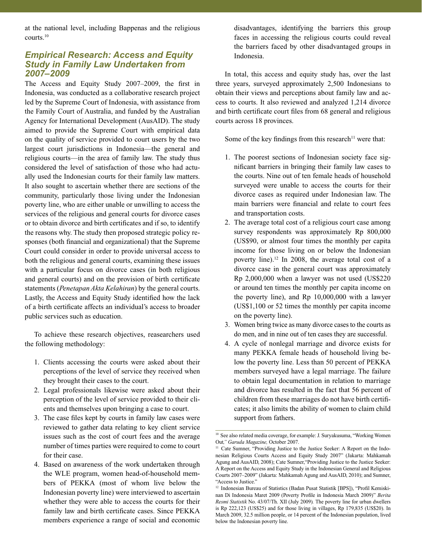at the national level, including Bappenas and the religious courts.10

## *Empirical Research: Access and Equity Study in Family Law Undertaken from 2007–2009*

The Access and Equity Study 2007–2009, the first in Indonesia, was conducted as a collaborative research project led by the Supreme Court of Indonesia, with assistance from the Family Court of Australia, and funded by the Australian Agency for International Development (AusAID). The study aimed to provide the Supreme Court with empirical data on the quality of service provided to court users by the two largest court jurisdictions in Indonesia—the general and religious courts—in the area of family law. The study thus considered the level of satisfaction of those who had actually used the Indonesian courts for their family law matters. It also sought to ascertain whether there are sections of the community, particularly those living under the Indonesian poverty line, who are either unable or unwilling to access the services of the religious and general courts for divorce cases or to obtain divorce and birth certificates and if so, to identify the reasons why. The study then proposed strategic policy responses (both financial and organizational) that the Supreme Court could consider in order to provide universal access to both the religious and general courts, examining these issues with a particular focus on divorce cases (in both religious and general courts) and on the provision of birth certificate statements (*Penetapan Akta Kelahiran*) by the general courts. Lastly, the Access and Equity Study identified how the lack of a birth certificate affects an individual's access to broader public services such as education.

To achieve these research objectives, reasearchers used the following methodology:

- 1. Clients accessing the courts were asked about their perceptions of the level of service they received when they brought their cases to the court.
- 2. Legal professionals likewise were asked about their perception of the level of service provided to their clients and themselves upon bringing a case to court.
- 3. The case files kept by courts in family law cases were reviewed to gather data relating to key client service issues such as the cost of court fees and the average number of times parties were required to come to court for their case.
- 4. Based on awareness of the work undertaken through the WLE program, women head-of-household members of PEKKA (most of whom live below the Indonesian poverty line) were interviewed to ascertain whether they were able to access the courts for their family law and birth certificate cases. Since PEKKA members experience a range of social and economic

disadvantages, identifying the barriers this group faces in accessing the religious courts could reveal the barriers faced by other disadvantaged groups in Indonesia.

In total, this access and equity study has, over the last three years, surveyed approximately 2,500 Indonesians to obtain their views and perceptions about family law and access to courts. It also reviewed and analyzed 1,214 divorce and birth certificate court files from 68 general and religious courts across 18 provinces.

Some of the key findings from this research<sup>11</sup> were that:

- 1. The poorest sections of Indonesian society face significant barriers in bringing their family law cases to the courts. Nine out of ten female heads of household surveyed were unable to access the courts for their divorce cases as required under Indonesian law. The main barriers were financial and relate to court fees and transportation costs.
- 2. The average total cost of a religious court case among survey respondents was approximately Rp 800,000 (US\$90, or almost four times the monthly per capita income for those living on or below the Indonesian poverty line).12 In 2008, the average total cost of a divorce case in the general court was approximately Rp 2,000,000 when a lawyer was not used (US\$220 or around ten times the monthly per capita income on the poverty line), and Rp 10,000,000 with a lawyer (US\$1,100 or 52 times the monthly per capita income on the poverty line).
- 3. Women bring twice as many divorce cases to the courts as do men, and in nine out of ten cases they are successful.
- 4. A cycle of nonlegal marriage and divorce exists for many PEKKA female heads of household living below the poverty line. Less than 50 percent of PEKKA members surveyed have a legal marriage. The failure to obtain legal documentation in relation to marriage and divorce has resulted in the fact that 56 percent of children from these marriages do not have birth certificates; it also limits the ability of women to claim child support from fathers.

<sup>&</sup>lt;sup>10</sup> See also related media coverage, for example: J. Suryakusuma, "Working Women Out*," Garuda Magazine,* October 2007.

<sup>&</sup>lt;sup>11</sup> Cate Sumner, "Providing Justice to the Justice Seeker: A Report on the Indonesian Religious Courts Access and Equity Study 2007" (Jakarta: Mahkamah Agung and AusAID, 2008); Cate Sumner,"Providing Justice to the Justice Seeker: A Report on the Access and Equity Study in the Indonesian General and Religious Courts 2007–2009" (Jakarta: Mahkamah Agung and AusAID, 2010); and Sumner, "Access to Justice."

<sup>&</sup>lt;sup>12</sup> Indonesian Bureau of Statistics (Badan Pusat Statistik [BPS]), "Profil Kemiskinan Di Indonesia Maret 2009 (Poverty Profile in Indonesia March 2009)" *Berita Resmi Statistik* No. 43/07/Th. XII (July 2009)*.* The poverty line for urban dwellers is Rp 222,123 (US\$25) and for those living in villages, Rp 179,835 (US\$20). In March 2009, 32.5 million people, or 14 percent of the Indonesian population, lived below the Indonesian poverty line.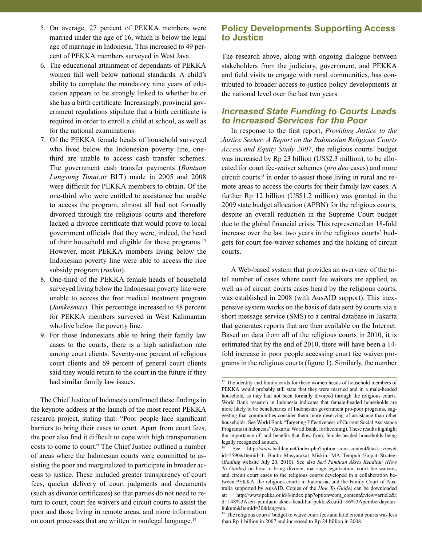- 5. On average, 27 percent of PEKKA members were married under the age of 16, which is below the legal age of marriage in Indonesia. This increased to 49 percent of PEKKA members surveyed in West Java.
- 6. The educational attainment of dependants of PEKKA women fall well below national standards. A child's ability to complete the mandatory nine years of education appears to be strongly linked to whether he or she has a birth certificate. Increasingly, provincial government regulations stipulate that a birth certificate is required in order to enroll a child at school, as well as for the national examinations.
- 7. Of the PEKKA female heads of household surveyed who lived below the Indonesian poverty line, onethird are unable to access cash transfer schemes. The government cash transfer payments (*Bantuan Langsung Tunai,*or BLT) made in 2005 and 2008 were difficult for PEKKA members to obtain. Of the one-third who were entitled to assistance but unable to access the program, almost all had not formally divorced through the religious courts and therefore lacked a divorce certificate that would prove to local government officials that they were, indeed, the head of their household and eligible for these programs.13 However, most PEKKA members living below the Indonesian poverty line were able to access the rice subsidy program (*raskin*).
- 8. One-third of the PEKKA female heads of household surveyed living below the Indonesian poverty line were unable to access the free medical treatment program (*Jamkesmas*). This percentage increased to 48 percent for PEKKA members surveyed in West Kalimantan who live below the poverty line.
- 9. For those Indonesians able to bring their family law cases to the courts, there is a high satisfaction rate among court clients. Seventy-one percent of religious court clients and 69 percent of general court clients said they would return to the court in the future if they had similar family law issues.

The Chief Justice of Indonesia confirmed these findings in the keynote address at the launch of the most recent PEKKA research project, stating that: "Poor people face significant barriers to bring their cases to court. Apart from court fees, the poor also find it difficult to cope with high transportation costs to come to court." The Chief Justice outlined a number of areas where the Indonesian courts were committed to assisting the poor and marginalized to participate in broader access to justice. These included greater transparency of court fees, quicker delivery of court judgments and documents (such as divorce certificates) so that parties do not need to return to court, court fee waivers and circuit courts to assist the poor and those living in remote areas, and more information on court processes that are written in nonlegal language.<sup>14</sup>

## **Policy Developments Supporting Access to Justice**

The research above, along with ongoing dialogue between stakeholders from the judiciary, government, and PEKKA and field visits to engage with rural communities, has contributed to broader access-to-justice policy developments at the national level over the last two years.

#### *Increased State Funding to Courts Leads to Increased Services for the Poor*

In response to the first report, *Providing Justice to the Justice Seeker: A Report on the Indonesian Religious Courts Access and Equity Study 2007*, the religious courts' budget was increased by Rp 23 billion (US\$2.3 million), to be allocated for court fee-waiver schemes (*pro deo* cases) and more circuit courts<sup>15</sup> in order to assist those living in rural and remote areas to access the courts for their family law cases. A further Rp 12 billion (US\$1.2 million) was granted in the 2009 state budget allocation (APBN) for the religious courts, despite an overall reduction in the Supreme Court budget due to the global financial crisis. This represented an 18-fold increase over the last two years in the religious courts' budgets for court fee-waiver schemes and the holding of circuit courts.

A Web-based system that provides an overview of the total number of cases where court fee waivers are applied, as well as of circuit courts cases heard by the religious courts, was established in 2008 (with AusAID support). This inexpensive system works on the basis of data sent by courts via a short message service (SMS) to a central database in Jakarta that generates reports that are then available on the Internet. Based on data from all of the religious courts in 2010, it is estimated that by the end of 2010, there will have been a 14 fold increase in poor people accessing court fee waiver programs in the religious courts (figure 1). Similarly, the number

<sup>&</sup>lt;sup>13</sup> The identity and family cards for these women heads of household members of PEKKA would probably still state that they were married and in a male-headed household, as they had not been formally divorced through the religious courts. World Bank research in Indonesia indicates that female-headed households are more likely to be beneficiaries of Indonesian government pro-poor programs, suggesting that communities consider them more deserving of assistance than other households. See World Bank "Targeting Effectiveness of Current Social Assistance Programs in Indonesia" (Jakarta: World Bank, forthcoming). These results highlight the importance of, and benefits that flow from, female-headed households being legally recognized as such.

<sup>14</sup> See http://www.badilag.net/index.php?option=com\_content&task=view& id=5590&Itemid=1. Bantu Masyarakat Miskin, MA Tempuh Empat Strategi (*Badilag* website July 20, 2010). See also *Seri Panduan Akses Keadilan (How To Guides)* on how to bring divorce, marriage legalization, court fee waivers, and circuit court cases to the religious courts developed in a collaboration between PEKKA, the religious courts in Indonesia, and the Family Court of Australia supported by AusAID. Copies of the *How To Guides* can be downloaded at: http://www.pekka.or.id/8/index.php?option=com\_content&view=article&i d=148%3Aseri-panduan-akses-keadilan-pekka&catid=36%3Apemberdayaanhukum&Itemid=30&lang=en.

<sup>&</sup>lt;sup>15</sup> The religious courts' budget to waive court fees and hold circuit courts was less than Rp 1 billion in 2007 and increased to Rp 24 billion in 2008.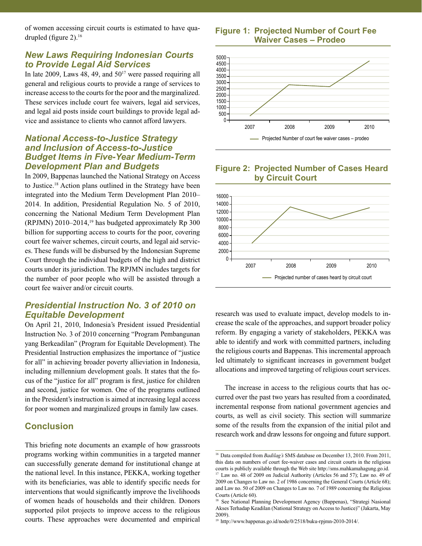of women accessing circuit courts is estimated to have quadrupled (figure 2).16

#### *New Laws Requiring Indonesian Courts to Provide Legal Aid Services*

In late 2009, Laws 48, 49, and  $50^{17}$  were passed requiring all general and religious courts to provide a range of services to increase access to the courts for the poor and the marginalized. These services include court fee waivers, legal aid services, and legal aid posts inside court buildings to provide legal advice and assistance to clients who cannot afford lawyers.

#### *National Access-to-Justice Strategy and Inclusion of Access-to-Justice Budget Items in Five-Year Medium-Term Development Plan and Budgets*

In 2009, Bappenas launched the National Strategy on Access to Justice.18 Action plans outlined in the Strategy have been integrated into the Medium Term Development Plan 2010– 2014. In addition, Presidential Regulation No. 5 of 2010, concerning the National Medium Term Development Plan (RPJMN) 2010–2014,19 has budgeted approximately Rp 300 billion for supporting access to courts for the poor, covering court fee waiver schemes, circuit courts, and legal aid services. These funds will be disbursed by the Indonesian Supreme Court through the individual budgets of the high and district courts under its jurisdiction. The RPJMN includes targets for the number of poor people who will be assisted through a court fee waiver and/or circuit courts.

#### *Presidential Instruction No. 3 of 2010 on Equitable Development*

On April 21, 2010, Indonesia's President issued Presidential Instruction No. 3 of 2010 concerning "Program Pembangunan yang Berkeadilan" (Program for Equitable Development). The Presidential Instruction emphasizes the importance of "justice for all" in achieving broader poverty allieviation in Indonesia, including millennium development goals. It states that the focus of the "justice for all" program is first, justice for children and second, justice for women. One of the programs outlined in the President's instruction is aimed at increasing legal access for poor women and marginalized groups in family law cases.

# **Conclusion**

This briefing note documents an example of how grassroots programs working within communities in a targeted manner can successfully generate demand for institutional change at the national level. In this instance, PEKKA, working together with its beneficiaries, was able to identify specific needs for interventions that would significantly improve the livelihoods of women heads of households and their children. Donors supported pilot projects to improve access to the religious courts. These approaches were documented and empirical

**Figure 1: Projected Number of Court Fee Waiver Cases – Prodeo**



#### **Figure 2: Projected Number of Cases Heard by Circuit Court**



research was used to evaluate impact, develop models to increase the scale of the approaches, and support broader policy reform. By engaging a variety of stakeholders, PEKKA was able to identify and work with committed partners, including the religious courts and Bappenas. This incremental approach led ultimately to significant increases in government budget allocations and improved targeting of religious court services.

The increase in access to the religious courts that has occurred over the past two years has resulted from a coordinated, incremental response from national government agencies and courts, as well as civil society. This section will summarize some of the results from the expansion of the initial pilot and research work and draw lessons for ongoing and future support.

<sup>&</sup>lt;sup>16</sup> Data compiled from *Badilag's* SMS database on December 13, 2010. From 2011, this data on numbers of court fee-waiver cases and circuit courts in the religious courts is publicly available through the Web site http://sms.mahkamahagung.go.id. <sup>17</sup> Law no. 48 of 2009 on Judicial Authority (Articles 56 and 57); Law no. 49 of 2009 on Changes to Law no. 2 of 1986 concerning the General Courts (Article 68); and Law no. 50 of 2009 on Changes to Law no. 7 of 1989 concerning the Religious Courts (Article 60).

<sup>&</sup>lt;sup>18</sup> See National Planning Development Agency (Bappenas), "Strategi Nasional Akses Terhadap Keadilan (National Strategy on Access to Justice)" (Jakarta, May 2009).

<sup>19</sup> http://www.bappenas.go.id/node/0/2518/buku-rpjmn-2010-2014/.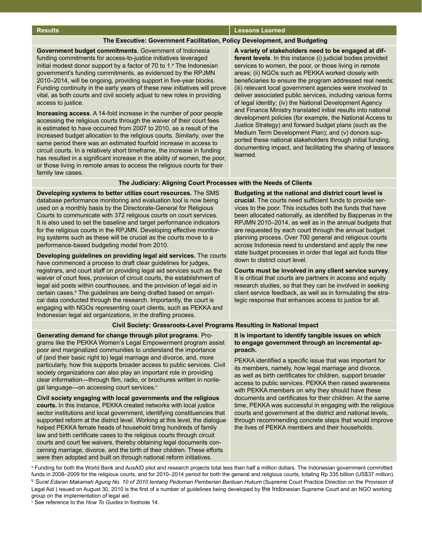#### **Results Lessons Learned**

#### **The Executive: Government Facilitation, Policy Development, and Budgeting**

**Government budget commitments**. Government of Indonesia funding commitments for access-to-justice initiatives leveraged initial modest donor support by a factor of 70 to 1.<sup>a</sup> The Indonesian government's funding commitments, as evidenced by the RPJMN 2010–2014, will be ongoing, providing support in five-year blocks. Funding continuity in the early years of these new initiatives will prove vital, as both courts and civil society adjust to new roles in providing access to justice.

**Increasing access**. A 14-fold increase in the number of poor people accessing the religious courts through the waiver of their court fees is estimated to have occurred from 2007 to 2010, as a result of the increased budget allocation to the religious courts. Similarly, over the same period there was an estimated fourfold increase in access to circuit courts. In a relatively short timeframe, the increase in funding has resulted in a significant increase in the ability of women, the poor, or those living in remote areas to access the religious courts for their family law cases.

**A variety of stakeholders need to be engaged at different levels**. In this instance (i) judicial bodies provided services to women, the poor, or those living in remote areas; (ii) NGOs such as PEKKA worked closely with beneficiaries to ensure the program addressed real needs; (iii) relevant local government agencies were involved to deliver associated public services, including various forms of legal identity; (iv) the National Development Agency and Finance Ministry translated initial results into national development policies (for example, the National Access to Justice Strategy) and forward budget plans (such as the Medium Term Development Plan); and (v) donors supported these national stakeholders through initial funding, documenting impact, and facilitating the sharing of lessons learned.

#### **The Judiciary: Aligning Court Processes with the Needs of Clients**

**Developing systems to better utilize court resources.** The SMS database performance monitoring and evaluation tool is now being used on a monthly basis by the Directorate-General for Religious Courts to communicate with 372 religious courts on court services. It is also used to set the baseline and target performance indicators for the religious courts in the RPJMN. Developing effective monitoring systems such as these will be crucial as the courts move to a performance-based budgeting model from 2010.

**Developing guidelines on providing legal aid services.** The courts have commenced a process to draft clear guidelines for judges, registrars, and court staff on providing legal aid services such as the waiver of court fees, provision of circuit courts, the establishment of legal aid posts within courthouses, and the provision of legal aid in certain cases.<sup>b</sup> The guidelines are being drafted based on empirical data conducted through the research. Importantly, the court is engaging with NGOs representing court clients, such as PEKKA and Indonesian legal aid organizations, in the drafting process.

**Budgeting at the national and district court level is crucial**. The courts need sufficient funds to provide services to the poor. This includes both the funds that have been allocated nationally, as identified by Bappenas in the RPJMN 2010–2014, as well as in the annual budgets that are requested by each court through the annual budget planning process. Over 700 general and religious courts across Indonesia need to understand and apply the new state budget processes in order that legal aid funds filter down to district court level.

**Courts must be involved in any client service survey**. It is critical that courts are partners in access and equity research studies, so that they can be involved in seeking client service feedback, as well as in formulating the strategic response that enhances access to justice for all.

#### **Civil Society: Grassroots-Level Programs Resulting in National Impact**

**Generating demand for change through pilot programs**. Programs like the PEKKA Women's Legal Empowerment program assist poor and marginalized communities to understand the importance of (and their basic right to) legal marriage and divorce, and, more particularly, how this supports broader access to public services. Civil society organizations can also play an important role in providing clear information—through film, radio, or brochures written in nonlegal language—on accessing court services.<sup>c</sup>

**Civil society engaging with local governments and the religious courts.** In this instance, PEKKA created networks with local justice sector institutions and local government, identifying constituencies that supported reform at the district level. Working at this level, the dialogue helped PEKKA female heads of household bring hundreds of family law and birth certificate cases to the religious courts through circuit courts and court fee waivers, thereby obtaining legal documents concerning marriage, divorce, and the birth of their children. These efforts were then adopted and built on through national reform initiatives.

#### **It is important to identify tangible issues on which to engage government through an incremental approach.**

PEKKA identified a specific issue that was important for its members, namely, how legal marriage and divorce, as well as birth certificates for children, support broader access to public services. PEKKA then raised awareness with PEKKA members on why they should have these documents and certificates for their children. At the same time, PEKKA was successful in engaging with the religious courts and government at the district and national levels, through recommending concrete steps that would improve the lives of PEKKA members and their households.

a Funding for both the World Bank and AusAID pilot and research projects total less than half a million dollars. The Indonesian government committed funds in 2008–2009 for the religious courts, and for 2010–2014 period for both the general and religious courts, totaling Rp 335 billion (US\$37 million). <sup>b</sup> *Surat Edaran Makamah Agung No. 10 of 2010 tentang Pedoman Pemberian Bantuan Hukum* (Supreme Court Practice Direction on the Provision of Legal Aid ) issued on August 30, 2010 is the first of a number of guidelines being developed by the Indonesian Supreme Court and an NGO working group on the implementation of legal aid.

c See reference to the *How To Guides* in footnote 14.